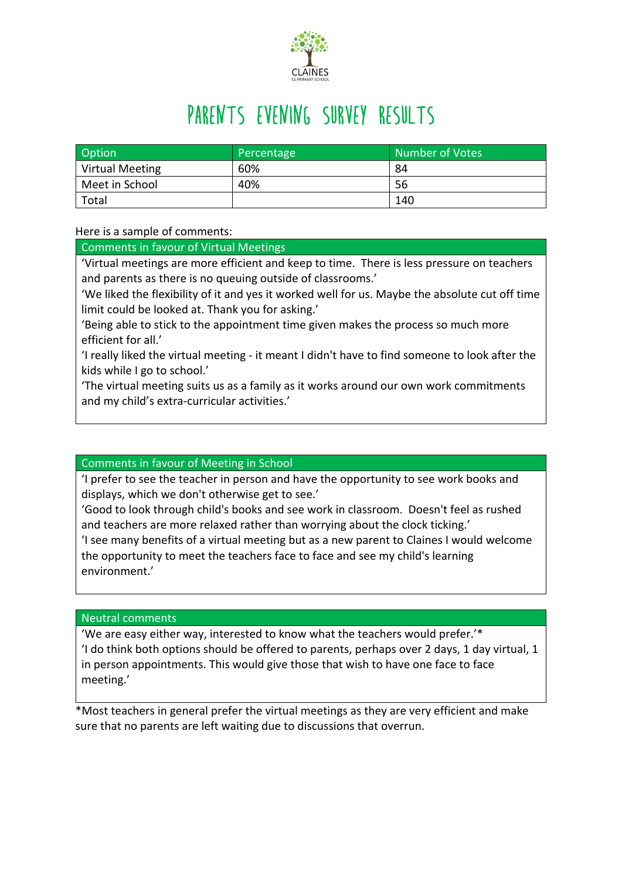

## PARENTS EVENING SURVEY RESULTS

| Option                 | Percentage | Number of Votes |
|------------------------|------------|-----------------|
| <b>Virtual Meeting</b> | 60%        | 84              |
| Meet in School         | 40%        | 56              |
| Total                  |            | 140             |

Here is a sample of comments:

Comments in favour of Virtual Meetings

'Virtual meetings are more efficient and keep to time. There is less pressure on teachers and parents as there is no queuing outside of classrooms.'

'We liked the flexibility of it and yes it worked well for us. Maybe the absolute cut off time limit could be looked at. Thank you for asking.'

'Being able to stick to the appointment time given makes the process so much more efficient for all.'

'I really liked the virtual meeting - it meant I didn't have to find someone to look after the kids while I go to school.'

'The virtual meeting suits us as a family as it works around our own work commitments and my child's extra-curricular activities.'

## Comments in favour of Meeting in School

'I prefer to see the teacher in person and have the opportunity to see work books and displays, which we don't otherwise get to see.'

'Good to look through child's books and see work in classroom. Doesn't feel as rushed and teachers are more relaxed rather than worrying about the clock ticking.'

'I see many benefits of a virtual meeting but as a new parent to Claines I would welcome the opportunity to meet the teachers face to face and see my child's learning environment.'

Neutral comments

'We are easy either way, interested to know what the teachers would prefer.'\* 'I do think both options should be offered to parents, perhaps over 2 days, 1 day virtual, 1 in person appointments. This would give those that wish to have one face to face meeting.'

\*Most teachers in general prefer the virtual meetings as they are very efficient and make sure that no parents are left waiting due to discussions that overrun.